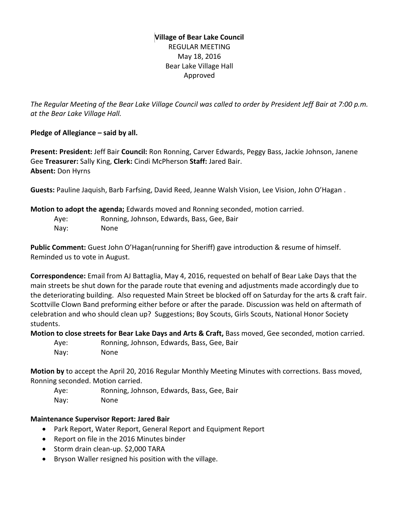### **Village of Bear Lake Council** REGULAR MEETING May 18, 2016 Bear Lake Village Hall Approved

*The Regular Meeting of the Bear Lake Village Council was called to order by President Jeff Bair at 7:00 p.m. at the Bear Lake Village Hall.*

### **Pledge of Allegiance – said by all.**

**Present: President:** Jeff Bair **Council:** Ron Ronning, Carver Edwards, Peggy Bass, Jackie Johnson, Janene Gee **Treasurer:** Sally King, **Clerk:** Cindi McPherson **Staff:** Jared Bair. **Absent:** Don Hyrns

**Guests:** Pauline Jaquish, Barb Farfsing, David Reed, Jeanne Walsh Vision, Lee Vision, John O'Hagan .

**Motion to adopt the agenda;** Edwards moved and Ronning seconded, motion carried.

| Aye: | Ronning, Johnson, Edwards, Bass, Gee, Bair |
|------|--------------------------------------------|
| Nay: | None.                                      |

**Public Comment:** Guest John O'Hagan(running for Sheriff) gave introduction & resume of himself. Reminded us to vote in August.

**Correspondence:** Email from AJ Battaglia, May 4, 2016, requested on behalf of Bear Lake Days that the main streets be shut down for the parade route that evening and adjustments made accordingly due to the deteriorating building. Also requested Main Street be blocked off on Saturday for the arts & craft fair. Scottville Clown Band preforming either before or after the parade. Discussion was held on aftermath of celebration and who should clean up? Suggestions; Boy Scouts, Girls Scouts, National Honor Society students.

**Motion to close streets for Bear Lake Days and Arts & Craft,** Bass moved, Gee seconded, motion carried.

Aye: Ronning, Johnson, Edwards, Bass, Gee, Bair Nay: None

**Motion by** to accept the April 20, 2016 Regular Monthly Meeting Minutes with corrections. Bass moved, Ronning seconded. Motion carried.

Aye: Ronning, Johnson, Edwards, Bass, Gee, Bair Nay: None

### **Maintenance Supervisor Report: Jared Bair**

- Park Report, Water Report, General Report and Equipment Report
- Report on file in the 2016 Minutes binder
- Storm drain clean-up. \$2,000 TARA
- Bryson Waller resigned his position with the village.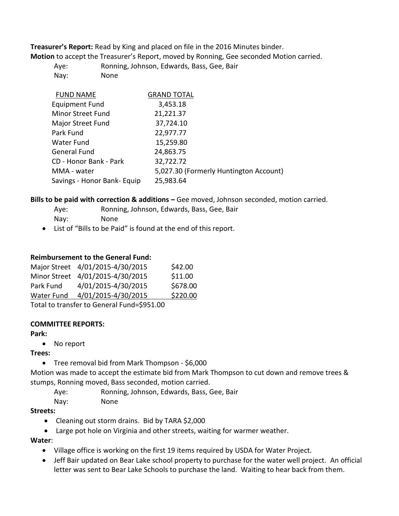**Treasurer's Report:** Read by King and placed on file in the 2016 Minutes binder.

**Motion** to accept the Treasurer's Report, moved by Ronning, Gee seconded Motion carried.

Aye: Ronning, Johnson, Edwards, Bass, Gee, Bair Nay: None

| <b>FUND NAME</b>            | <b>GRAND TOTAL</b>                     |
|-----------------------------|----------------------------------------|
| <b>Equipment Fund</b>       | 3,453.18                               |
| <b>Minor Street Fund</b>    | 21,221.37                              |
| Major Street Fund           | 37,724.10                              |
| Park Fund                   | 22,977.77                              |
| Water Fund                  | 15,259.80                              |
| General Fund                | 24,863.75                              |
| CD - Honor Bank - Park      | 32,722.72                              |
| MMA - water                 | 5,027.30 (Formerly Huntington Account) |
| Savings - Honor Bank- Equip | 25,983.64                              |

**Bills to be paid with correction & additions –** Gee moved, Johnson seconded, motion carried.

- Aye: Ronning, Johnson, Edwards, Bass, Gee, Bair
- Nay: None
- List of "Bills to be Paid" is found at the end of this report.

### **Reimbursement to the General Fund:**

|                               | Major Street 4/01/2015-4/30/2015 | \$42.00  |  |  |  |
|-------------------------------|----------------------------------|----------|--|--|--|
|                               | Minor Street 4/01/2015-4/30/2015 | \$11.00  |  |  |  |
| Park Fund                     | 4/01/2015-4/30/2015              | \$678.00 |  |  |  |
| Water Fund                    | 4/01/2015-4/30/2015              | \$220.00 |  |  |  |
| Total to transform to Concard |                                  |          |  |  |  |

Total to transfer to General Fund=\$951.00

### **COMMITTEE REPORTS:**

### **Park:**

• No report

## **Trees:**

Tree removal bid from Mark Thompson - \$6,000

Motion was made to accept the estimate bid from Mark Thompson to cut down and remove trees & stumps, Ronning moved, Bass seconded, motion carried.

Aye: Ronning, Johnson, Edwards, Bass, Gee, Bair

Nay: None

## **Streets:**

- Cleaning out storm drains. Bid by TARA \$2,000
- Large pot hole on Virginia and other streets, waiting for warmer weather.

**Water**:

- Village office is working on the first 19 items required by USDA for Water Project.
- Jeff Bair updated on Bear Lake school property to purchase for the water well project. An official letter was sent to Bear Lake Schools to purchase the land. Waiting to hear back from them.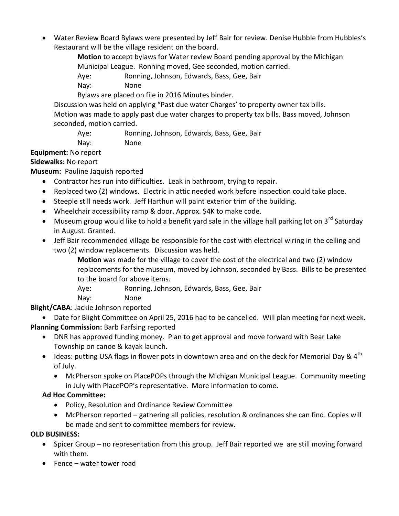• Water Review Board Bylaws were presented by Jeff Bair for review. Denise Hubble from Hubbles's Restaurant will be the village resident on the board.

> **Motion** to accept bylaws for Water review Board pending approval by the Michigan Municipal League. Ronning moved, Gee seconded, motion carried.

Aye: Ronning, Johnson, Edwards, Bass, Gee, Bair

Nay: None

Bylaws are placed on file in 2016 Minutes binder.

Discussion was held on applying "Past due water Charges' to property owner tax bills. Motion was made to apply past due water charges to property tax bills. Bass moved, Johnson seconded, motion carried.

Aye: Ronning, Johnson, Edwards, Bass, Gee, Bair Nay: None

# **Equipment:** No report

## **Sidewalks:** No report

**Museum:** Pauline Jaquish reported

- Contractor has run into difficulties. Leak in bathroom, trying to repair.
- Replaced two (2) windows. Electric in attic needed work before inspection could take place.
- Steeple still needs work. Jeff Harthun will paint exterior trim of the building.
- Wheelchair accessibility ramp & door. Approx. \$4K to make code.
- $\bullet$  Museum group would like to hold a benefit yard sale in the village hall parking lot on 3<sup>rd</sup> Saturdav in August. Granted.
- Jeff Bair recommended village be responsible for the cost with electrical wiring in the ceiling and two (2) window replacements. Discussion was held.

**Motion** was made for the village to cover the cost of the electrical and two (2) window replacements for the museum, moved by Johnson, seconded by Bass. Bills to be presented to the board for above items.

Aye: Ronning, Johnson, Edwards, Bass, Gee, Bair

Nay: None

**Blight/CABA**: Jackie Johnson reported

 Date for Blight Committee on April 25, 2016 had to be cancelled. Will plan meeting for next week. **Planning Commission:** Barb Farfsing reported

- DNR has approved funding money. Plan to get approval and move forward with Bear Lake Township on canoe & kayak launch.
- $\bullet$  Ideas: putting USA flags in flower pots in downtown area and on the deck for Memorial Day & 4<sup>th</sup> of July.
	- McPherson spoke on PlacePOPs through the Michigan Municipal League. Community meeting in July with PlacePOP's representative. More information to come.

# **Ad Hoc Committee:**

- Policy, Resolution and Ordinance Review Committee
- McPherson reported gathering all policies, resolution & ordinances she can find. Copies will be made and sent to committee members for review.

## **OLD BUSINESS:**

- Spicer Group no representation from this group. Jeff Bair reported we are still moving forward with them.
- Fence water tower road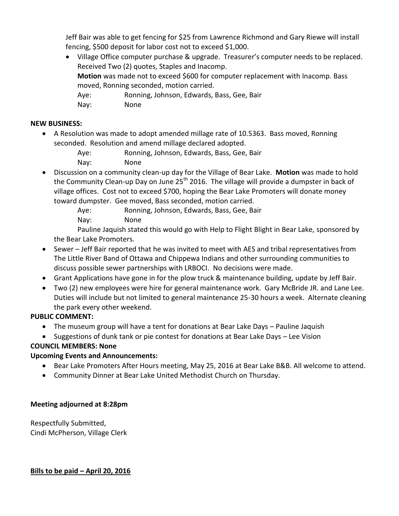Jeff Bair was able to get fencing for \$25 from Lawrence Richmond and Gary Riewe will install fencing, \$500 deposit for labor cost not to exceed \$1,000.

 Village Office computer purchase & upgrade. Treasurer's computer needs to be replaced. Received Two (2) quotes, Staples and Inacomp. **Motion** was made not to exceed \$600 for computer replacement with Inacomp. Bass moved, Ronning seconded, motion carried. Aye: Ronning, Johnson, Edwards, Bass, Gee, Bair Nay: None

### **NEW BUSINESS:**

 A Resolution was made to adopt amended millage rate of 10.5363. Bass moved, Ronning seconded. Resolution and amend millage declared adopted.

| Ave: | Ronning, Johnson, Edwards, Bass, Gee, Bair |
|------|--------------------------------------------|
| Nay: | <b>None</b>                                |

- Discussion on a community clean-up day for the Village of Bear Lake. **Motion** was made to hold the Community Clean-up Day on June  $25<sup>th</sup>$  2016. The village will provide a dumpster in back of village offices. Cost not to exceed \$700, hoping the Bear Lake Promoters will donate money toward dumpster. Gee moved, Bass seconded, motion carried.
	- Aye: Ronning, Johnson, Edwards, Bass, Gee, Bair
	- Nay: None

Pauline Jaquish stated this would go with Help to Flight Blight in Bear Lake, sponsored by the Bear Lake Promoters.

- Sewer Jeff Bair reported that he was invited to meet with AES and tribal representatives from The Little River Band of Ottawa and Chippewa Indians and other surrounding communities to discuss possible sewer partnerships with LRBOCI. No decisions were made.
- Grant Applications have gone in for the plow truck & maintenance building, update by Jeff Bair.
- Two (2) new employees were hire for general maintenance work. Gary McBride JR. and Lane Lee. Duties will include but not limited to general maintenance 25-30 hours a week. Alternate cleaning the park every other weekend.

## **PUBLIC COMMENT:**

- The museum group will have a tent for donations at Bear Lake Days Pauline Jaquish
- Suggestions of dunk tank or pie contest for donations at Bear Lake Days Lee Vision

## **COUNCIL MEMBERS: None**

### **Upcoming Events and Announcements:**

- Bear Lake Promoters After Hours meeting, May 25, 2016 at Bear Lake B&B. All welcome to attend.
- Community Dinner at Bear Lake United Methodist Church on Thursday.

### **Meeting adjourned at 8:28pm**

Respectfully Submitted, Cindi McPherson, Village Clerk